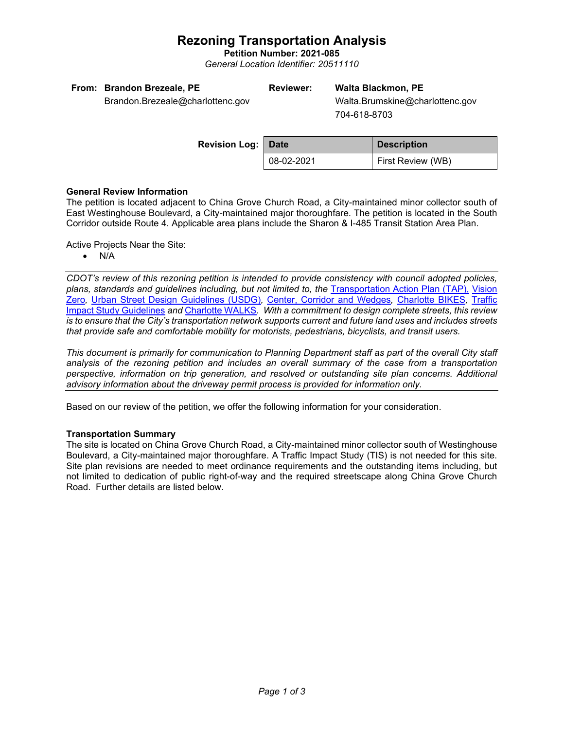# **Rezoning Transportation Analysis**

**Petition Number: 2021-085** *General Location Identifier: 20511110*

| From: Brandon Brezeale, PE       | <b>Reviewer:</b> | <b>Walta Blackmo</b> |
|----------------------------------|------------------|----------------------|
| Brandon.Brezeale@charlottenc.gov |                  | Walta.Brumskin       |

# **Reviewer: Walta Blackmon, PE**

 Walta.Brumskine@charlottenc.gov 704-618-8703

| <b>Revision Log: Date</b> |            | <b>Description</b> |
|---------------------------|------------|--------------------|
|                           | 08-02-2021 | First Review (WB)  |

#### **General Review Information**

The petition is located adjacent to China Grove Church Road, a City-maintained minor collector south of East Westinghouse Boulevard, a City-maintained major thoroughfare. The petition is located in the South Corridor outside Route 4. Applicable area plans include the Sharon & I-485 Transit Station Area Plan.

Active Projects Near the Site:

• N/A

*CDOT's review of this rezoning petition is intended to provide consistency with council adopted policies, plans, standards and guidelines including, but not limited to, the* [Transportation Action Plan \(TAP\),](https://charlottenc.gov/Transportation/Programs/Pages/TransportationActionPlan.aspx) [Vision](https://charlottenc.gov/VisionZero/Pages/VisionZero.aspx)  [Zero](https://charlottenc.gov/VisionZero/Pages/VisionZero.aspx)*,* [Urban Street Design Guidelines \(USDG\)](https://charlottenc.gov/Transportation/PlansProjects/Documents/USDG%20Full%20Document.pdf)*,* [Center, Corridor and Wedges](http://ww.charmeck.org/Planning/Land%20Use%20Planning/CentersCorridorsWedges/CentersCorridorsWedges(Adopted).pdf)*,* [Charlotte BIKES](https://charlottenc.gov/Transportation/Programs/Pages/Bicycle.aspx)*,* [Traffic](https://charlottenc.gov/Transportation/Permits/Documents/TISProcessandGuildlines.pdf)  [Impact Study Guidelines](https://charlottenc.gov/Transportation/Permits/Documents/TISProcessandGuildlines.pdf) *and* [Charlotte WALKS](https://charlottenc.gov/Transportation/Programs/Pages/CharlotteWalks.aspx)*. With a commitment to design complete streets, this review is to ensure that the City's transportation network supports current and future land uses and includes streets that provide safe and comfortable mobility for motorists, pedestrians, bicyclists, and transit users.*

*This document is primarily for communication to Planning Department staff as part of the overall City staff analysis of the rezoning petition and includes an overall summary of the case from a transportation perspective, information on trip generation, and resolved or outstanding site plan concerns. Additional advisory information about the driveway permit process is provided for information only.*

Based on our review of the petition, we offer the following information for your consideration.

## **Transportation Summary**

The site is located on China Grove Church Road, a City-maintained minor collector south of Westinghouse Boulevard, a City-maintained major thoroughfare. A Traffic Impact Study (TIS) is not needed for this site. Site plan revisions are needed to meet ordinance requirements and the outstanding items including, but not limited to dedication of public right-of-way and the required streetscape along China Grove Church Road. Further details are listed below.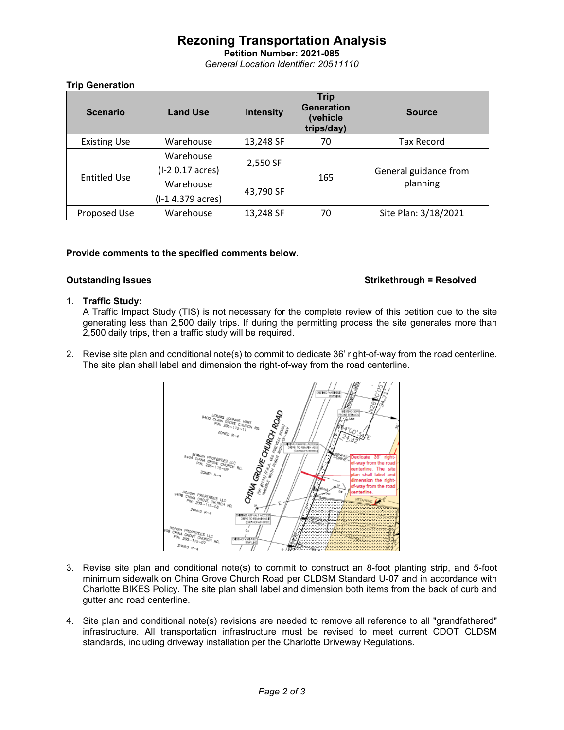# **Rezoning Transportation Analysis**

**Petition Number: 2021-085** *General Location Identifier: 20511110*

## **Trip Generation**

| <b>Scenario</b>     | <b>Land Use</b>   | <b>Intensity</b> | <b>Trip</b><br><b>Generation</b><br>(vehicle<br>trips/day) | <b>Source</b>                     |
|---------------------|-------------------|------------------|------------------------------------------------------------|-----------------------------------|
| <b>Existing Use</b> | Warehouse         | 13,248 SF        | 70                                                         | Tax Record                        |
|                     | Warehouse         | 2,550 SF         | 165                                                        | General guidance from<br>planning |
| <b>Entitled Use</b> | (I-2 0.17 acres)  |                  |                                                            |                                   |
|                     | Warehouse         | 43,790 SF        |                                                            |                                   |
|                     | (I-1 4.379 acres) |                  |                                                            |                                   |
| Proposed Use        | Warehouse         | 13,248 SF        | 70                                                         | Site Plan: 3/18/2021              |

## **Provide comments to the specified comments below.**

#### **Outstanding Issues Strikethrough = Resolved**

#### 1. **Traffic Study:**

A Traffic Impact Study (TIS) is not necessary for the complete review of this petition due to the site generating less than 2,500 daily trips. If during the permitting process the site generates more than 2,500 daily trips, then a traffic study will be required.

2. Revise site plan and conditional note(s) to commit to dedicate 36' right-of-way from the road centerline. The site plan shall label and dimension the right-of-way from the road centerline.



- 3. Revise site plan and conditional note(s) to commit to construct an 8-foot planting strip, and 5-foot minimum sidewalk on China Grove Church Road per CLDSM Standard U-07 and in accordance with Charlotte BIKES Policy. The site plan shall label and dimension both items from the back of curb and gutter and road centerline.
- 4. Site plan and conditional note(s) revisions are needed to remove all reference to all "grandfathered" infrastructure. All transportation infrastructure must be revised to meet current CDOT CLDSM standards, including driveway installation per the Charlotte Driveway Regulations.